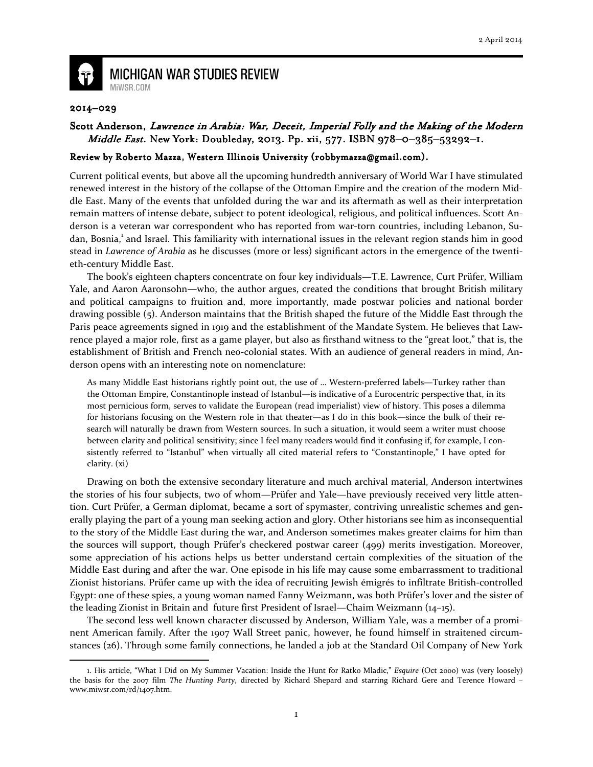

## **MICHIGAN WAR STUDIES REVIEW** MiWSR.COM

## 2014–029

## Scott Anderson, Lawrence in Arabia: War, Deceit, Imperial Folly and the Making of the Modern Middle East. New York: Doubleday, 2013. Pp. xii, 577. ISBN 978-0-385-53292-1.

## Review by Roberto Mazza, Western Illinois University (robbymazza@gmail.com).

Current political events, but above all the upcoming hundredth anniversary of World War I have stimulated renewed interest in the history of the collapse of the Ottoman Empire and the creation of the modern Middle East. Many of the events that unfolded during the war and its aftermath as well as their interpretation remain matters of intense debate, subject to potent ideological, religious, and political influences. Scott Anderson is a veteran war correspondent who has reported from war-torn countries, including Lebanon, Sudan, Bosnia,<sup>1</sup> and Israel. This familiarity with international issues in the relevant region stands him in good stead in Lawrence of Arabia as he discusses (more or less) significant actors in the emergence of the twentieth-century Middle East.

 The book's eighteen chapters concentrate on four key individuals—T.E. Lawrence, Curt Prüfer, William Yale, and Aaron Aaronsohn—who, the author argues, created the conditions that brought British military and political campaigns to fruition and, more importantly, made postwar policies and national border drawing possible (5). Anderson maintains that the British shaped the future of the Middle East through the Paris peace agreements signed in 1919 and the establishment of the Mandate System. He believes that Lawrence played a major role, first as a game player, but also as firsthand witness to the "great loot," that is, the establishment of British and French neo-colonial states. With an audience of general readers in mind, Anderson opens with an interesting note on nomenclature:

As many Middle East historians rightly point out, the use of … Western-preferred labels—Turkey rather than the Ottoman Empire, Constantinople instead of Istanbul—is indicative of a Eurocentric perspective that, in its most pernicious form, serves to validate the European (read imperialist) view of history. This poses a dilemma for historians focusing on the Western role in that theater—as I do in this book—since the bulk of their research will naturally be drawn from Western sources. In such a situation, it would seem a writer must choose between clarity and political sensitivity; since I feel many readers would find it confusing if, for example, I consistently referred to "Istanbul" when virtually all cited material refers to "Constantinople," I have opted for clarity. (xi)

 Drawing on both the extensive secondary literature and much archival material, Anderson intertwines the stories of his four subjects, two of whom—Prüfer and Yale—have previously received very little attention. Curt Prüfer, a German diplomat, became a sort of spymaster, contriving unrealistic schemes and generally playing the part of a young man seeking action and glory. Other historians see him as inconsequential to the story of the Middle East during the war, and Anderson sometimes makes greater claims for him than the sources will support, though Prüfer's checkered postwar career (499) merits investigation. Moreover, some appreciation of his actions helps us better understand certain complexities of the situation of the Middle East during and after the war. One episode in his life may cause some embarrassment to traditional Zionist historians. Prüfer came up with the idea of recruiting Jewish émigrés to infiltrate British-controlled Egypt: one of these spies, a young woman named Fanny Weizmann, was both Prüfer's lover and the sister of the leading Zionist in Britain and future first President of Israel—Chaim Weizmann (14–15).

 The second less well known character discussed by Anderson, William Yale, was a member of a prominent American family. After the 1907 Wall Street panic, however, he found himself in straitened circumstances (26). Through some family connections, he landed a job at the Standard Oil Company of New York  $\overline{\phantom{0}}$ 

<sup>1.</sup> His article, "What I Did on My Summer Vacation: Inside the Hunt for Ratko Mladic," Esquire (Oct 2000) was (very loosely) the basis for the 2007 film The Hunting Party, directed by Richard Shepard and starring Richard Gere and Terence Howard www.miwsr.com/rd/1407.htm.